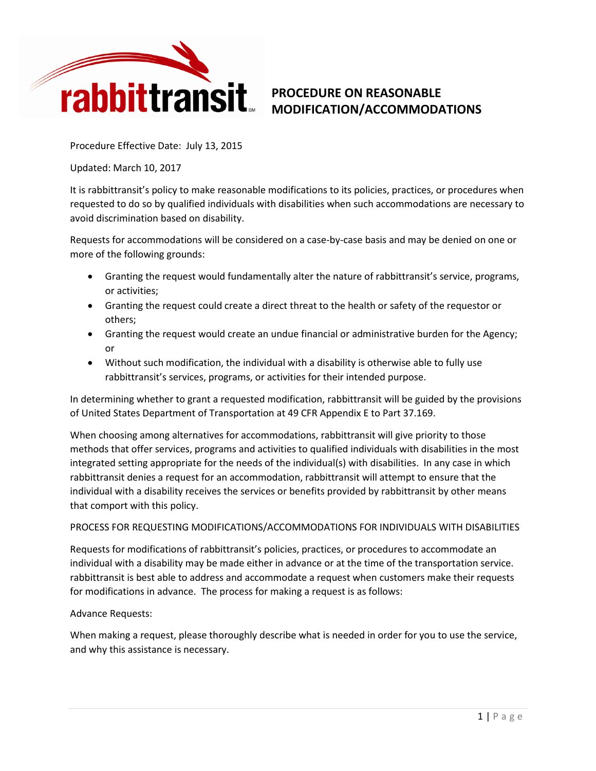

## **PROCEDURE ON REASONABLE MODIFICATION/ACCOMMODATIONS**

Procedure Effective Date: July 13, 2015

Updated: March 10, 2017

It is rabbittransit's policy to make reasonable modifications to its policies, practices, or procedures when requested to do so by qualified individuals with disabilities when such accommodations are necessary to avoid discrimination based on disability.

Requests for accommodations will be considered on a case-by-case basis and may be denied on one or more of the following grounds:

- Granting the request would fundamentally alter the nature of rabbittransit's service, programs, or activities;
- Granting the request could create a direct threat to the health or safety of the requestor or others;
- Granting the request would create an undue financial or administrative burden for the Agency; or
- Without such modification, the individual with a disability is otherwise able to fully use rabbittransit's services, programs, or activities for their intended purpose.

In determining whether to grant a requested modification, rabbittransit will be guided by the provisions of United States Department of Transportation at 49 CFR Appendix E to Part 37.169.

When choosing among alternatives for accommodations, rabbittransit will give priority to those methods that offer services, programs and activities to qualified individuals with disabilities in the most integrated setting appropriate for the needs of the individual(s) with disabilities. In any case in which rabbittransit denies a request for an accommodation, rabbittransit will attempt to ensure that the individual with a disability receives the services or benefits provided by rabbittransit by other means that comport with this policy.

## PROCESS FOR REQUESTING MODIFICATIONS/ACCOMMODATIONS FOR INDIVIDUALS WITH DISABILITIES

Requests for modifications of rabbittransit's policies, practices, or procedures to accommodate an individual with a disability may be made either in advance or at the time of the transportation service. rabbittransit is best able to address and accommodate a request when customers make their requests for modifications in advance. The process for making a request is as follows:

Advance Requests:

When making a request, please thoroughly describe what is needed in order for you to use the service, and why this assistance is necessary.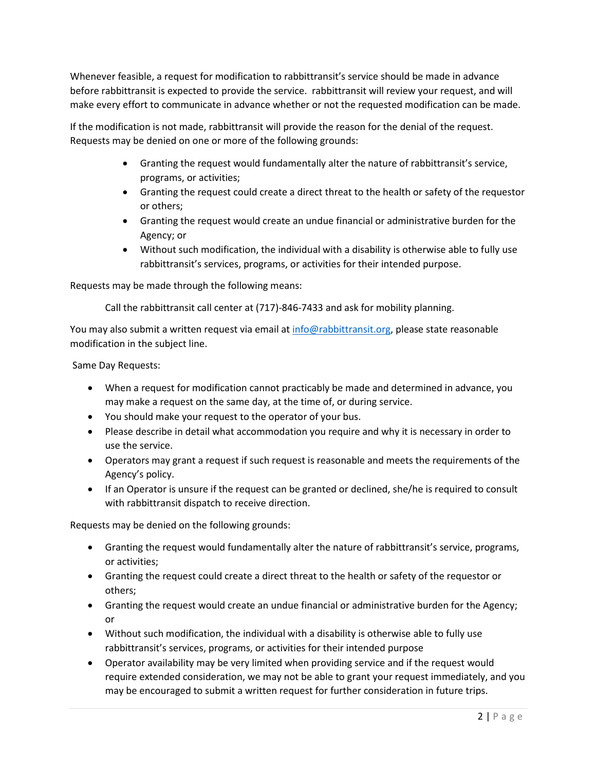Whenever feasible, a request for modification to rabbittransit's service should be made in advance before rabbittransit is expected to provide the service. rabbittransit will review your request, and will make every effort to communicate in advance whether or not the requested modification can be made.

If the modification is not made, rabbittransit will provide the reason for the denial of the request. Requests may be denied on one or more of the following grounds:

- Granting the request would fundamentally alter the nature of rabbittransit's service, programs, or activities;
- Granting the request could create a direct threat to the health or safety of the requestor or others;
- Granting the request would create an undue financial or administrative burden for the Agency; or
- Without such modification, the individual with a disability is otherwise able to fully use rabbittransit's services, programs, or activities for their intended purpose.

Requests may be made through the following means:

Call the rabbittransit call center at (717)-846-7433 and ask for mobility planning.

You may also submit a written request via email at [info@rabbittransit.org,](mailto:info@rabbittransit.org) please state reasonable modification in the subject line.

Same Day Requests:

- When a request for modification cannot practicably be made and determined in advance, you may make a request on the same day, at the time of, or during service.
- You should make your request to the operator of your bus.
- Please describe in detail what accommodation you require and why it is necessary in order to use the service.
- Operators may grant a request if such request is reasonable and meets the requirements of the Agency's policy.
- If an Operator is unsure if the request can be granted or declined, she/he is required to consult with rabbittransit dispatch to receive direction.

Requests may be denied on the following grounds:

- Granting the request would fundamentally alter the nature of rabbittransit's service, programs, or activities;
- Granting the request could create a direct threat to the health or safety of the requestor or others;
- Granting the request would create an undue financial or administrative burden for the Agency; or
- Without such modification, the individual with a disability is otherwise able to fully use rabbittransit's services, programs, or activities for their intended purpose
- Operator availability may be very limited when providing service and if the request would require extended consideration, we may not be able to grant your request immediately, and you may be encouraged to submit a written request for further consideration in future trips.